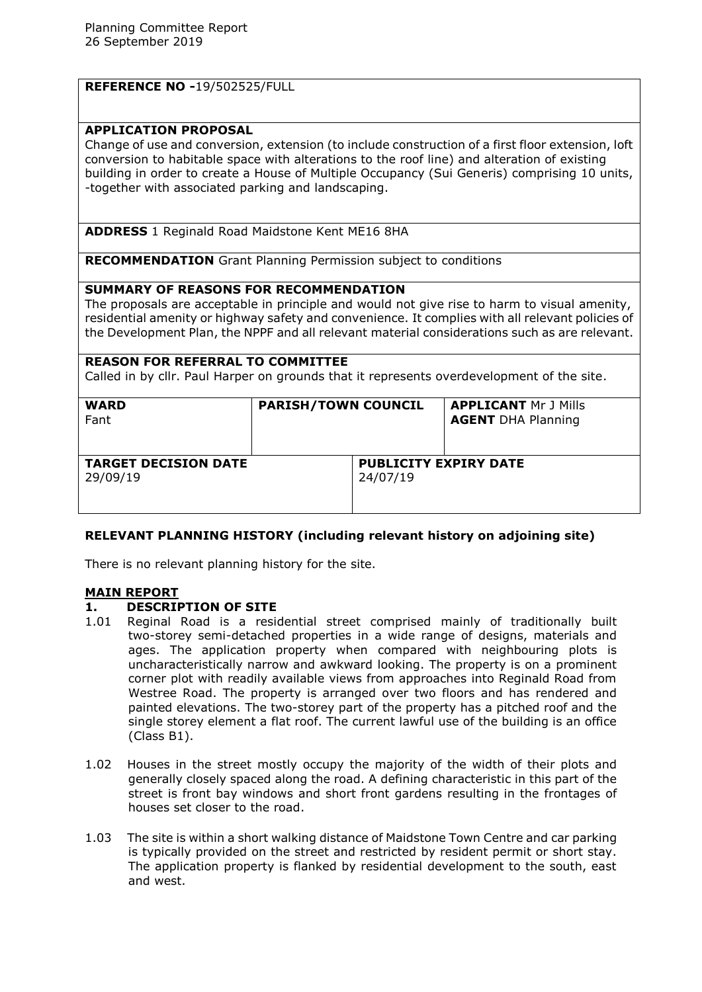|  | <b>REFERENCE NO -19/502525/FULL</b> |
|--|-------------------------------------|
|--|-------------------------------------|

### **APPLICATION PROPOSAL**

Change of use and conversion, extension (to include construction of a first floor extension, loft conversion to habitable space with alterations to the roof line) and alteration of existing building in order to create a House of Multiple Occupancy (Sui Generis) comprising 10 units, -together with associated parking and landscaping.

**ADDRESS** 1 Reginald Road Maidstone Kent ME16 8HA

**RECOMMENDATION** Grant Planning Permission subject to conditions

### **SUMMARY OF REASONS FOR RECOMMENDATION**

The proposals are acceptable in principle and would not give rise to harm to visual amenity, residential amenity or highway safety and convenience. It complies with all relevant policies of the Development Plan, the NPPF and all relevant material considerations such as are relevant.

### **REASON FOR REFERRAL TO COMMITTEE**

Called in by cllr. Paul Harper on grounds that it represents overdevelopment of the site.

| <b>WARD</b><br>Fant                     | <b>PARISH/TOWN COUNCIL</b>               |  | <b>APPLICANT Mr J Mills</b><br><b>AGENT DHA Planning</b> |
|-----------------------------------------|------------------------------------------|--|----------------------------------------------------------|
| <b>TARGET DECISION DATE</b><br>29/09/19 | <b>PUBLICITY EXPIRY DATE</b><br>24/07/19 |  |                                                          |

# **RELEVANT PLANNING HISTORY (including relevant history on adjoining site)**

There is no relevant planning history for the site.

### **MAIN REPORT**

### **1. DESCRIPTION OF SITE**

- 1.01 Reginal Road is a residential street comprised mainly of traditionally built two-storey semi-detached properties in a wide range of designs, materials and ages. The application property when compared with neighbouring plots is uncharacteristically narrow and awkward looking. The property is on a prominent corner plot with readily available views from approaches into Reginald Road from Westree Road. The property is arranged over two floors and has rendered and painted elevations. The two-storey part of the property has a pitched roof and the single storey element a flat roof. The current lawful use of the building is an office (Class B1).
- 1.02 Houses in the street mostly occupy the majority of the width of their plots and generally closely spaced along the road. A defining characteristic in this part of the street is front bay windows and short front gardens resulting in the frontages of houses set closer to the road.
- 1.03 The site is within a short walking distance of Maidstone Town Centre and car parking is typically provided on the street and restricted by resident permit or short stay. The application property is flanked by residential development to the south, east and west.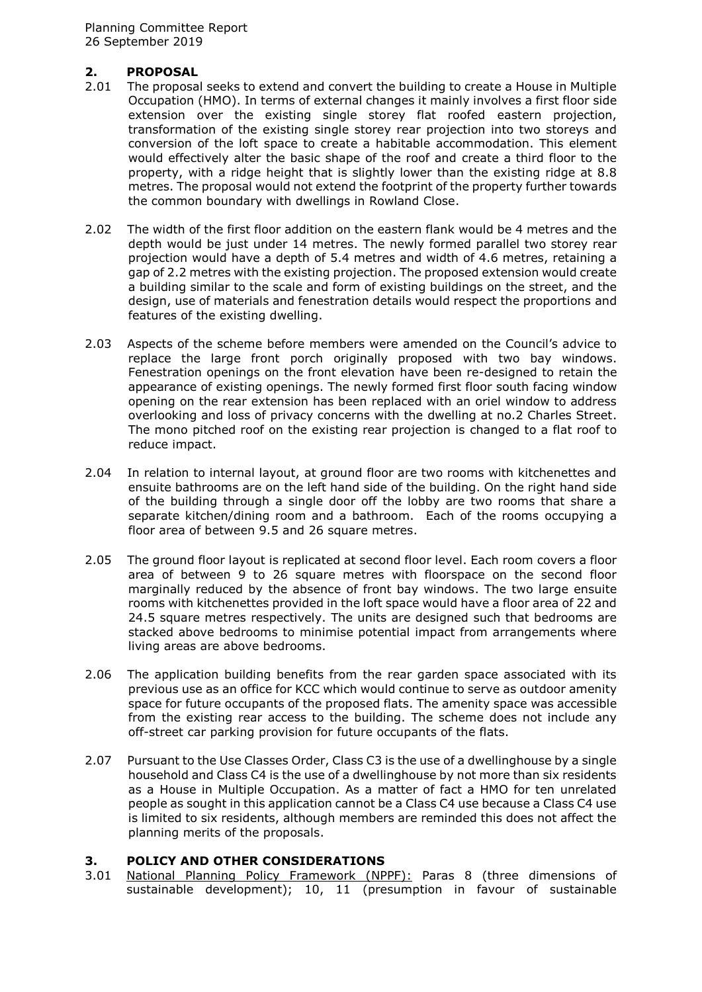Planning Committee Report 26 September 2019

### **2. PROPOSAL**

- 2.01 The proposal seeks to extend and convert the building to create a House in Multiple Occupation (HMO). In terms of external changes it mainly involves a first floor side extension over the existing single storey flat roofed eastern projection, transformation of the existing single storey rear projection into two storeys and conversion of the loft space to create a habitable accommodation. This element would effectively alter the basic shape of the roof and create a third floor to the property, with a ridge height that is slightly lower than the existing ridge at 8.8 metres. The proposal would not extend the footprint of the property further towards the common boundary with dwellings in Rowland Close.
- 2.02 The width of the first floor addition on the eastern flank would be 4 metres and the depth would be just under 14 metres. The newly formed parallel two storey rear projection would have a depth of 5.4 metres and width of 4.6 metres, retaining a gap of 2.2 metres with the existing projection. The proposed extension would create a building similar to the scale and form of existing buildings on the street, and the design, use of materials and fenestration details would respect the proportions and features of the existing dwelling.
- 2.03 Aspects of the scheme before members were amended on the Council's advice to replace the large front porch originally proposed with two bay windows. Fenestration openings on the front elevation have been re-designed to retain the appearance of existing openings. The newly formed first floor south facing window opening on the rear extension has been replaced with an oriel window to address overlooking and loss of privacy concerns with the dwelling at no.2 Charles Street. The mono pitched roof on the existing rear projection is changed to a flat roof to reduce impact.
- 2.04 In relation to internal layout, at ground floor are two rooms with kitchenettes and ensuite bathrooms are on the left hand side of the building. On the right hand side of the building through a single door off the lobby are two rooms that share a separate kitchen/dining room and a bathroom. Each of the rooms occupying a floor area of between 9.5 and 26 square metres.
- 2.05 The ground floor layout is replicated at second floor level. Each room covers a floor area of between 9 to 26 square metres with floorspace on the second floor marginally reduced by the absence of front bay windows. The two large ensuite rooms with kitchenettes provided in the loft space would have a floor area of 22 and 24.5 square metres respectively. The units are designed such that bedrooms are stacked above bedrooms to minimise potential impact from arrangements where living areas are above bedrooms.
- 2.06 The application building benefits from the rear garden space associated with its previous use as an office for KCC which would continue to serve as outdoor amenity space for future occupants of the proposed flats. The amenity space was accessible from the existing rear access to the building. The scheme does not include any off-street car parking provision for future occupants of the flats.
- 2.07 Pursuant to the Use Classes Order, Class C3 is the use of a dwellinghouse by a single household and Class C4 is the use of a dwellinghouse by not more than six residents as a House in Multiple Occupation. As a matter of fact a HMO for ten unrelated people as sought in this application cannot be a Class C4 use because a Class C4 use is limited to six residents, although members are reminded this does not affect the planning merits of the proposals.

# **3. POLICY AND OTHER CONSIDERATIONS**

3.01 National Planning Policy Framework (NPPF): Paras 8 (three dimensions of sustainable development); 10, 11 (presumption in favour of sustainable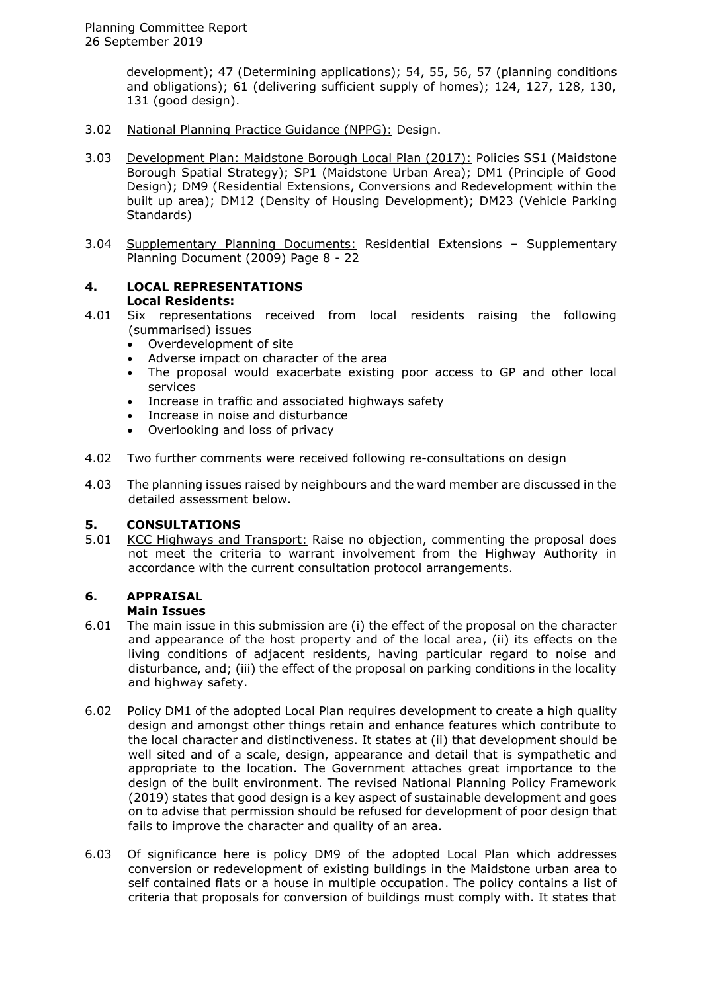development); 47 (Determining applications); 54, 55, 56, 57 (planning conditions and obligations); 61 (delivering sufficient supply of homes); 124, 127, 128, 130, 131 (good design).

- 3.02 National Planning Practice Guidance (NPPG): Design.
- 3.03 Development Plan: Maidstone Borough Local Plan (2017): Policies SS1 (Maidstone Borough Spatial Strategy); SP1 (Maidstone Urban Area); DM1 (Principle of Good Design); DM9 (Residential Extensions, Conversions and Redevelopment within the built up area); DM12 (Density of Housing Development); DM23 (Vehicle Parking Standards)
- 3.04 Supplementary Planning Documents: Residential Extensions Supplementary Planning Document (2009) Page 8 - 22

### **4. LOCAL REPRESENTATIONS Local Residents:**

- 4.01 Six representations received from local residents raising the following (summarised) issues
	-
	- Overdevelopment of site<br>• Adverse impact on chara Adverse impact on character of the area
	- The proposal would exacerbate existing poor access to GP and other local services
	- Increase in traffic and associated highways safety
	- Increase in noise and disturbance
	- Overlooking and loss of privacy
- 4.02 Two further comments were received following re-consultations on design
- 4.03 The planning issues raised by neighbours and the ward member are discussed in the detailed assessment below.

# **5. CONSULTATIONS**

5.01 KCC Highways and Transport: Raise no objection, commenting the proposal does not meet the criteria to warrant involvement from the Highway Authority in accordance with the current consultation protocol arrangements.

# **6. APPRAISAL**

# **Main Issues**

- 6.01 The main issue in this submission are (i) the effect of the proposal on the character and appearance of the host property and of the local area, (ii) its effects on the living conditions of adjacent residents, having particular regard to noise and disturbance, and; (iii) the effect of the proposal on parking conditions in the locality and highway safety.
- 6.02 Policy DM1 of the adopted Local Plan requires development to create a high quality design and amongst other things retain and enhance features which contribute to the local character and distinctiveness. It states at (ii) that development should be well sited and of a scale, design, appearance and detail that is sympathetic and appropriate to the location. The Government attaches great importance to the design of the built environment. The revised National Planning Policy Framework (2019) states that good design is a key aspect of sustainable development and goes on to advise that permission should be refused for development of poor design that fails to improve the character and quality of an area.
- 6.03 Of significance here is policy DM9 of the adopted Local Plan which addresses conversion or redevelopment of existing buildings in the Maidstone urban area to self contained flats or a house in multiple occupation. The policy contains a list of criteria that proposals for conversion of buildings must comply with. It states that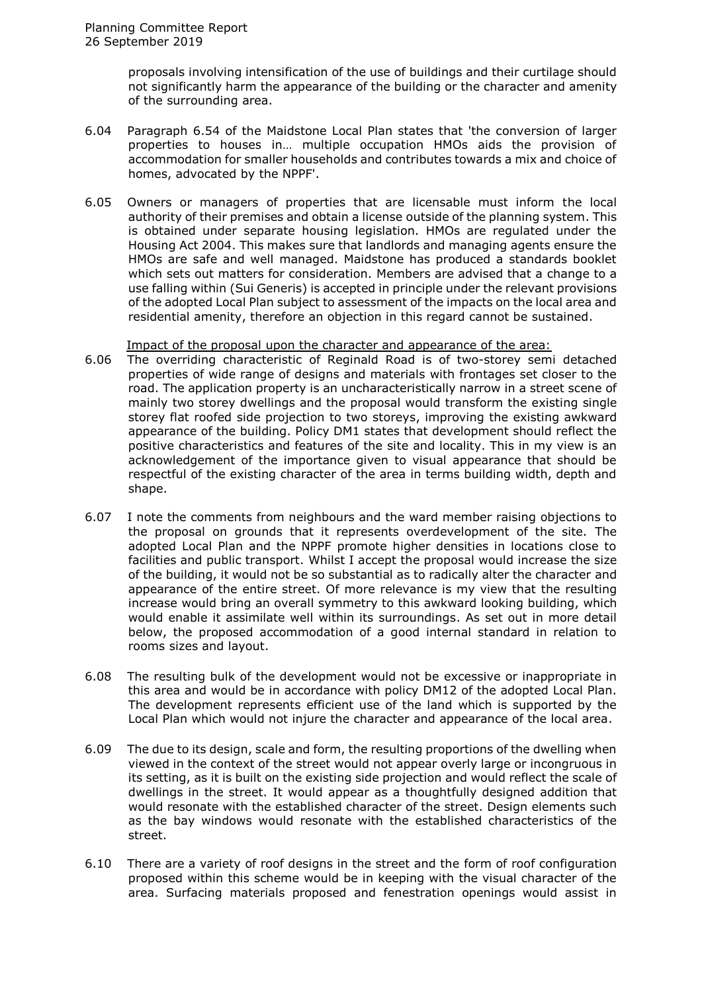proposals involving intensification of the use of buildings and their curtilage should not significantly harm the appearance of the building or the character and amenity of the surrounding area.

- 6.04 Paragraph 6.54 of the Maidstone Local Plan states that 'the conversion of larger properties to houses in… multiple occupation HMOs aids the provision of accommodation for smaller households and contributes towards a mix and choice of homes, advocated by the NPPF'.
- 6.05 Owners or managers of properties that are licensable must inform the local authority of their premises and obtain a license outside of the planning system. This is obtained under separate housing legislation. HMOs are regulated under the Housing Act 2004. This makes sure that landlords and managing agents ensure the HMOs are safe and well managed. Maidstone has produced a standards booklet which sets out matters for consideration. Members are advised that a change to a use falling within (Sui Generis) is accepted in principle under the relevant provisions of the adopted Local Plan subject to assessment of the impacts on the local area and residential amenity, therefore an objection in this regard cannot be sustained.

#### Impact of the proposal upon the character and appearance of the area:

- 6.06 The overriding characteristic of Reginald Road is of two-storey semi detached properties of wide range of designs and materials with frontages set closer to the road. The application property is an uncharacteristically narrow in a street scene of mainly two storey dwellings and the proposal would transform the existing single storey flat roofed side projection to two storeys, improving the existing awkward appearance of the building. Policy DM1 states that development should reflect the positive characteristics and features of the site and locality. This in my view is an acknowledgement of the importance given to visual appearance that should be respectful of the existing character of the area in terms building width, depth and shape.
- 6.07 I note the comments from neighbours and the ward member raising objections to the proposal on grounds that it represents overdevelopment of the site. The adopted Local Plan and the NPPF promote higher densities in locations close to facilities and public transport. Whilst I accept the proposal would increase the size of the building, it would not be so substantial as to radically alter the character and appearance of the entire street. Of more relevance is my view that the resulting increase would bring an overall symmetry to this awkward looking building, which would enable it assimilate well within its surroundings. As set out in more detail below, the proposed accommodation of a good internal standard in relation to rooms sizes and layout.
- 6.08 The resulting bulk of the development would not be excessive or inappropriate in this area and would be in accordance with policy DM12 of the adopted Local Plan. The development represents efficient use of the land which is supported by the Local Plan which would not injure the character and appearance of the local area.
- 6.09 The due to its design, scale and form, the resulting proportions of the dwelling when viewed in the context of the street would not appear overly large or incongruous in its setting, as it is built on the existing side projection and would reflect the scale of dwellings in the street. It would appear as a thoughtfully designed addition that would resonate with the established character of the street. Design elements such as the bay windows would resonate with the established characteristics of the street.
- 6.10 There are a variety of roof designs in the street and the form of roof configuration proposed within this scheme would be in keeping with the visual character of the area. Surfacing materials proposed and fenestration openings would assist in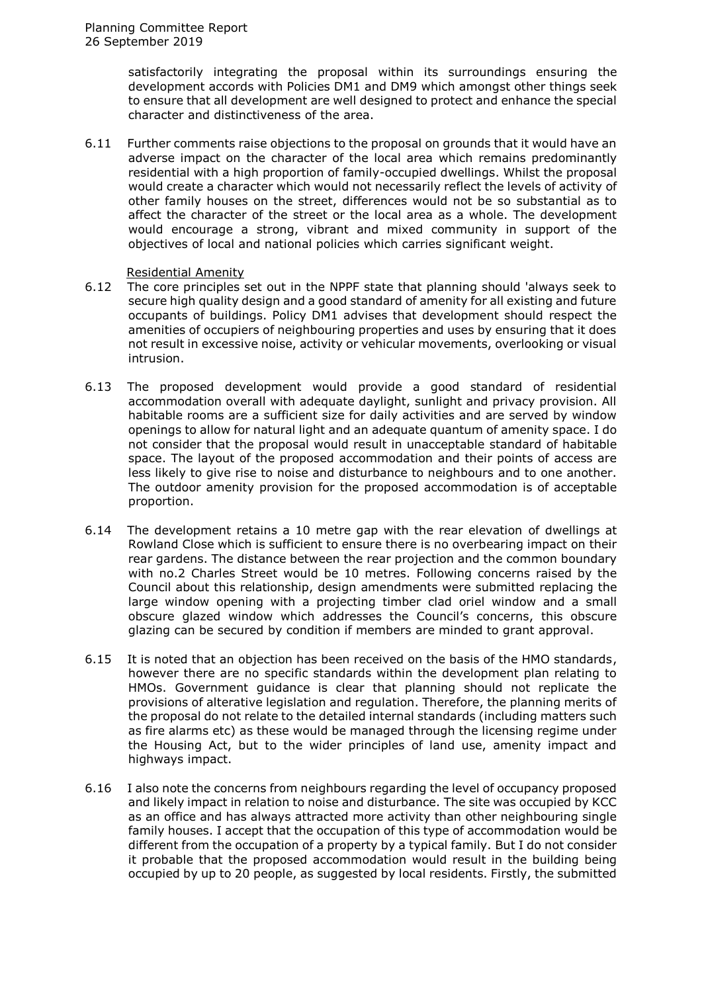satisfactorily integrating the proposal within its surroundings ensuring the development accords with Policies DM1 and DM9 which amongst other things seek to ensure that all development are well designed to protect and enhance the special character and distinctiveness of the area.

6.11 Further comments raise objections to the proposal on grounds that it would have an adverse impact on the character of the local area which remains predominantly residential with a high proportion of family-occupied dwellings. Whilst the proposal would create a character which would not necessarily reflect the levels of activity of other family houses on the street, differences would not be so substantial as to affect the character of the street or the local area as a whole. The development would encourage a strong, vibrant and mixed community in support of the objectives of local and national policies which carries significant weight.

### Residential Amenity

- 6.12 The core principles set out in the NPPF state that planning should 'always seek to secure high quality design and a good standard of amenity for all existing and future occupants of buildings. Policy DM1 advises that development should respect the amenities of occupiers of neighbouring properties and uses by ensuring that it does not result in excessive noise, activity or vehicular movements, overlooking or visual intrusion.
- 6.13 The proposed development would provide a good standard of residential accommodation overall with adequate daylight, sunlight and privacy provision. All habitable rooms are a sufficient size for daily activities and are served by window openings to allow for natural light and an adequate quantum of amenity space. I do not consider that the proposal would result in unacceptable standard of habitable space. The layout of the proposed accommodation and their points of access are less likely to give rise to noise and disturbance to neighbours and to one another. The outdoor amenity provision for the proposed accommodation is of acceptable proportion.
- 6.14 The development retains a 10 metre gap with the rear elevation of dwellings at Rowland Close which is sufficient to ensure there is no overbearing impact on their rear gardens. The distance between the rear projection and the common boundary with no.2 Charles Street would be 10 metres. Following concerns raised by the Council about this relationship, design amendments were submitted replacing the large window opening with a projecting timber clad oriel window and a small obscure glazed window which addresses the Council's concerns, this obscure glazing can be secured by condition if members are minded to grant approval.
- 6.15 It is noted that an objection has been received on the basis of the HMO standards, however there are no specific standards within the development plan relating to HMOs. Government guidance is clear that planning should not replicate the provisions of alterative legislation and regulation. Therefore, the planning merits of the proposal do not relate to the detailed internal standards (including matters such as fire alarms etc) as these would be managed through the licensing regime under the Housing Act, but to the wider principles of land use, amenity impact and highways impact.
- 6.16 I also note the concerns from neighbours regarding the level of occupancy proposed and likely impact in relation to noise and disturbance. The site was occupied by KCC as an office and has always attracted more activity than other neighbouring single family houses. I accept that the occupation of this type of accommodation would be different from the occupation of a property by a typical family. But I do not consider it probable that the proposed accommodation would result in the building being occupied by up to 20 people, as suggested by local residents. Firstly, the submitted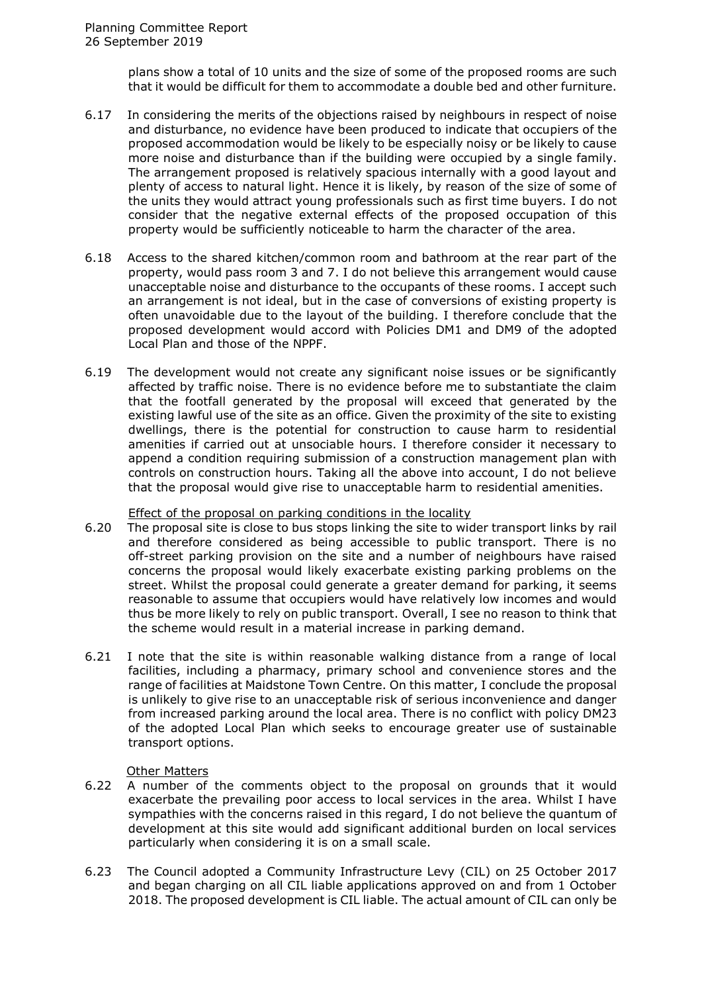plans show a total of 10 units and the size of some of the proposed rooms are such that it would be difficult for them to accommodate a double bed and other furniture.

- 6.17 In considering the merits of the objections raised by neighbours in respect of noise and disturbance, no evidence have been produced to indicate that occupiers of the proposed accommodation would be likely to be especially noisy or be likely to cause more noise and disturbance than if the building were occupied by a single family. The arrangement proposed is relatively spacious internally with a good layout and plenty of access to natural light. Hence it is likely, by reason of the size of some of the units they would attract young professionals such as first time buyers. I do not consider that the negative external effects of the proposed occupation of this property would be sufficiently noticeable to harm the character of the area.
- 6.18 Access to the shared kitchen/common room and bathroom at the rear part of the property, would pass room 3 and 7. I do not believe this arrangement would cause unacceptable noise and disturbance to the occupants of these rooms. I accept such an arrangement is not ideal, but in the case of conversions of existing property is often unavoidable due to the layout of the building. I therefore conclude that the proposed development would accord with Policies DM1 and DM9 of the adopted Local Plan and those of the NPPF.
- 6.19 The development would not create any significant noise issues or be significantly affected by traffic noise. There is no evidence before me to substantiate the claim that the footfall generated by the proposal will exceed that generated by the existing lawful use of the site as an office. Given the proximity of the site to existing dwellings, there is the potential for construction to cause harm to residential amenities if carried out at unsociable hours. I therefore consider it necessary to append a condition requiring submission of a construction management plan with controls on construction hours. Taking all the above into account, I do not believe that the proposal would give rise to unacceptable harm to residential amenities.

### Effect of the proposal on parking conditions in the locality

- 6.20 The proposal site is close to bus stops linking the site to wider transport links by rail and therefore considered as being accessible to public transport. There is no off-street parking provision on the site and a number of neighbours have raised concerns the proposal would likely exacerbate existing parking problems on the street. Whilst the proposal could generate a greater demand for parking, it seems reasonable to assume that occupiers would have relatively low incomes and would thus be more likely to rely on public transport. Overall, I see no reason to think that the scheme would result in a material increase in parking demand.
- 6.21 I note that the site is within reasonable walking distance from a range of local facilities, including a pharmacy, primary school and convenience stores and the range of facilities at Maidstone Town Centre. On this matter, I conclude the proposal is unlikely to give rise to an unacceptable risk of serious inconvenience and danger from increased parking around the local area. There is no conflict with policy DM23 of the adopted Local Plan which seeks to encourage greater use of sustainable transport options.

### Other Matters

- 6.22 A number of the comments object to the proposal on grounds that it would exacerbate the prevailing poor access to local services in the area. Whilst I have sympathies with the concerns raised in this regard, I do not believe the quantum of development at this site would add significant additional burden on local services particularly when considering it is on a small scale.
- 6.23 The Council adopted a Community Infrastructure Levy (CIL) on 25 October 2017 and began charging on all CIL liable applications approved on and from 1 October 2018. The proposed development is CIL liable. The actual amount of CIL can only be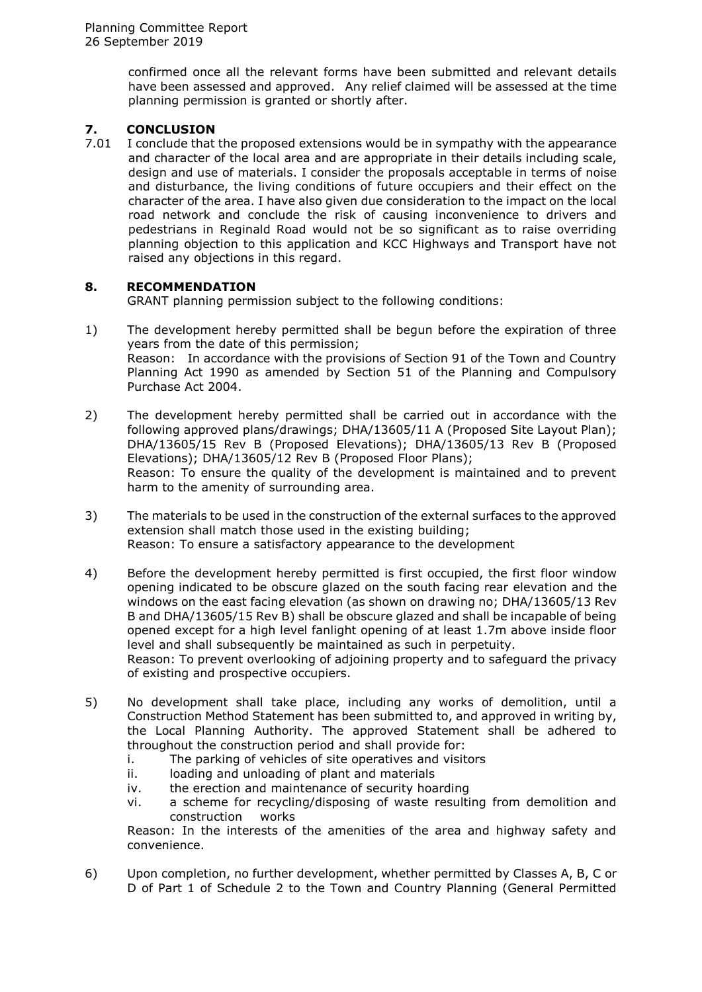confirmed once all the relevant forms have been submitted and relevant details have been assessed and approved. Any relief claimed will be assessed at the time planning permission is granted or shortly after.

# **7. CONCLUSION**<br>7.01 I conclude that

I conclude that the proposed extensions would be in sympathy with the appearance and character of the local area and are appropriate in their details including scale, design and use of materials. I consider the proposals acceptable in terms of noise and disturbance, the living conditions of future occupiers and their effect on the character of the area. I have also given due consideration to the impact on the local road network and conclude the risk of causing inconvenience to drivers and pedestrians in Reginald Road would not be so significant as to raise overriding planning objection to this application and KCC Highways and Transport have not raised any objections in this regard.

# **8. RECOMMENDATION**

GRANT planning permission subject to the following conditions:

- 1) The development hereby permitted shall be begun before the expiration of three years from the date of this permission; Reason: In accordance with the provisions of Section 91 of the Town and Country Planning Act 1990 as amended by Section 51 of the Planning and Compulsory Purchase Act 2004.
- 2) The development hereby permitted shall be carried out in accordance with the following approved plans/drawings; DHA/13605/11 A (Proposed Site Layout Plan); DHA/13605/15 Rev B (Proposed Elevations); DHA/13605/13 Rev B (Proposed Elevations); DHA/13605/12 Rev B (Proposed Floor Plans); Reason: To ensure the quality of the development is maintained and to prevent harm to the amenity of surrounding area.
- 3) The materials to be used in the construction of the external surfaces to the approved extension shall match those used in the existing building; Reason: To ensure a satisfactory appearance to the development
- 4) Before the development hereby permitted is first occupied, the first floor window opening indicated to be obscure glazed on the south facing rear elevation and the windows on the east facing elevation (as shown on drawing no; DHA/13605/13 Rev B and DHA/13605/15 Rev B) shall be obscure glazed and shall be incapable of being opened except for a high level fanlight opening of at least 1.7m above inside floor level and shall subsequently be maintained as such in perpetuity. Reason: To prevent overlooking of adjoining property and to safeguard the privacy of existing and prospective occupiers.
- 5) No development shall take place, including any works of demolition, until a Construction Method Statement has been submitted to, and approved in writing by, the Local Planning Authority. The approved Statement shall be adhered to throughout the construction period and shall provide for:
	- i. The parking of vehicles of site operatives and visitors
	- ii. loading and unloading of plant and materials
	- iv. the erection and maintenance of security hoarding
	- vi. a scheme for recycling/disposing of waste resulting from demolition and construction works

Reason: In the interests of the amenities of the area and highway safety and convenience.

6) Upon completion, no further development, whether permitted by Classes A, B, C or D of Part 1 of Schedule 2 to the Town and Country Planning (General Permitted